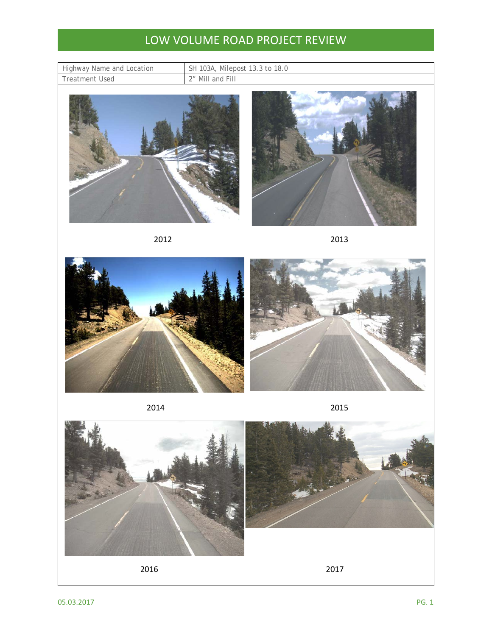## LOW VOLUME ROAD PROJECT REVIEW

| Highway Name and Location |  |
|---------------------------|--|
| <b>Treatment Used</b>     |  |

SH 103A, Milepost 13.3 to 18.0 2" Mill and Fill









2014 2015



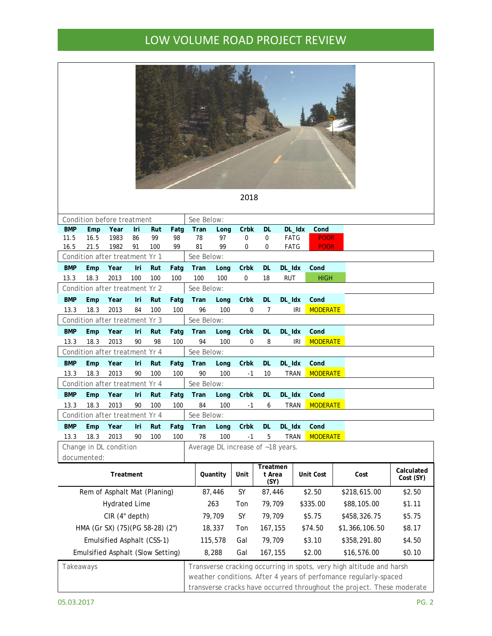## LOW VOLUME ROAD PROJECT REVIEW

|                                   |                              |                                        |           |           |              |                            |                   | 2018                              |           |                       |                         |                            |                                                                                                                                                                                                                    |  |
|-----------------------------------|------------------------------|----------------------------------------|-----------|-----------|--------------|----------------------------|-------------------|-----------------------------------|-----------|-----------------------|-------------------------|----------------------------|--------------------------------------------------------------------------------------------------------------------------------------------------------------------------------------------------------------------|--|
|                                   |                              | Condition before treatment             |           |           |              | See Below:                 |                   |                                   |           |                       |                         |                            |                                                                                                                                                                                                                    |  |
| <b>BMP</b>                        | Emp                          | Year                                   | Iri       | Rut       | Fatg         | Tran                       | Long              | Crbk                              | <b>DL</b> |                       | DL_Idx<br>Cond          |                            |                                                                                                                                                                                                                    |  |
| 11.5<br>16.5                      | 16.5<br>21.5                 | 1983<br>1982                           | 86<br>91  | 99<br>100 | 98<br>99     | 78<br>81                   | 97<br>99          | 0<br>0                            | 0<br>0    | <b>FATG</b><br>FATG   |                         | <b>POOR</b><br><b>POOR</b> |                                                                                                                                                                                                                    |  |
|                                   |                              | Condition after treatment              |           | Yr 1      |              | See Below:                 |                   |                                   |           |                       |                         |                            |                                                                                                                                                                                                                    |  |
| <b>BMP</b>                        | Emp                          | Year                                   | Iri       | Rut       | Fatg         | Tran                       | Long              | Crbk                              | <b>DL</b> | DL_Idx                | Cond                    |                            |                                                                                                                                                                                                                    |  |
| 13.3                              | 18.3                         | 2013                                   | 100       | 100       | 100          | 100                        | 100               | 0                                 | 18        | <b>RUT</b>            |                         | <b>HIGH</b>                |                                                                                                                                                                                                                    |  |
|                                   |                              | Condition after treatment Yr 2         |           |           |              | See Below:                 |                   |                                   |           |                       |                         |                            |                                                                                                                                                                                                                    |  |
| <b>BMP</b>                        | Emp                          | Year                                   | Iri       | Rut       | Fatg         | Tran                       | Long              | Crbk                              | <b>DL</b> | DL_Idx                | Cond                    |                            |                                                                                                                                                                                                                    |  |
| 13.3                              | 18.3                         | 2013                                   | 84        | 100       | 100          | 96                         | 100               | 0                                 | 7         |                       | IRI                     | <b>MODERATE</b>            |                                                                                                                                                                                                                    |  |
|                                   |                              | Condition after treatment Yr 3         |           |           |              | See Below:                 |                   |                                   |           |                       |                         |                            |                                                                                                                                                                                                                    |  |
| <b>BMP</b>                        | Emp                          | Year                                   | Iri       | Rut       | Fatg         | Tran                       | Long              | Crbk                              | <b>DL</b> | DL_Idx                | Cond                    |                            |                                                                                                                                                                                                                    |  |
| 13.3                              | 18.3                         | 2013                                   | 90        | 98        | 100          | 94                         | 100               | 0                                 | 8         |                       | IRI                     | <b>MODERATE</b>            |                                                                                                                                                                                                                    |  |
|                                   |                              | Condition after treatment Yr 4         |           |           |              | See Below:                 |                   |                                   |           |                       |                         |                            |                                                                                                                                                                                                                    |  |
| <b>BMP</b>                        | Emp                          | Year                                   | Iri       | Rut       | Fatg         | Tran                       | Long              | Crbk                              | <b>DL</b> | DL_Idx                | Cond                    |                            |                                                                                                                                                                                                                    |  |
| 13.3                              | 18.3                         | 2013                                   | 90        | 100       | 100          | 90                         | 100               | $-1$                              | 10        | <b>TRAN</b>           |                         | <b>MODERATE</b>            |                                                                                                                                                                                                                    |  |
|                                   |                              | Condition after treatment Yr 4         |           |           |              | See Below:                 |                   |                                   |           |                       |                         |                            |                                                                                                                                                                                                                    |  |
| <b>BMP</b>                        | Emp                          | Year                                   | Iri       | Rut       | Fatg         | Tran                       | Long              | Crbk                              | <b>DL</b> | DL_Idx                | Cond                    |                            |                                                                                                                                                                                                                    |  |
| 13.3                              | 18.3                         | 2013                                   | 90        | 100       | 100          | 84<br>See Below:           | 100               | -1                                | 6         | <b>TRAN</b>           |                         | <b>MODERATE</b>            |                                                                                                                                                                                                                    |  |
| <b>BMP</b>                        | Emp                          | Condition after treatment Yr 4<br>Year |           | Rut       |              |                            |                   | Crbk                              |           |                       | Cond                    |                            |                                                                                                                                                                                                                    |  |
| 13.3                              | 18.3                         | 2013                                   | Iri<br>90 | 100       | Fatg<br>100  | Tran<br>78                 | Long<br>100       | $-1$                              | DL.<br>5  | DL_Idx<br><b>TRAN</b> |                         | <b>MODERATE</b>            |                                                                                                                                                                                                                    |  |
|                                   |                              | Change in DL condition                 |           |           |              |                            |                   | Average DL increase of ~18 years. |           |                       |                         |                            |                                                                                                                                                                                                                    |  |
|                                   | documented:                  |                                        |           |           |              |                            |                   |                                   |           |                       |                         |                            |                                                                                                                                                                                                                    |  |
| Treatment                         |                              |                                        | Quantity  |           | Unit         | Treatmen<br>t Area<br>(SY) |                   | Unit Cost                         |           | Cost                  | Calculated<br>Cost (SY) |                            |                                                                                                                                                                                                                    |  |
|                                   | Rem of Asphalt Mat (Planing) |                                        |           |           | 87,446       | SY                         | 87,446            |                                   | \$2.50    |                       | \$218,615.00            | \$2.50                     |                                                                                                                                                                                                                    |  |
|                                   | <b>Hydrated Lime</b>         |                                        | 263       |           | Ton          | 79,709                     |                   | \$335.00                          |           | \$88,105.00           | \$1.11                  |                            |                                                                                                                                                                                                                    |  |
| CIR (4" depth)                    |                              |                                        |           | 79,709    |              | SY                         | 79,709            | \$5.75                            |           |                       | \$458,326.75            | \$5.75                     |                                                                                                                                                                                                                    |  |
| HMA (Gr SX) (75) (PG 58-28) (2")  |                              |                                        |           | 18,337    |              | Ton                        | 167,155           | \$74.50                           |           |                       | \$1,366,106.50          | \$8.17                     |                                                                                                                                                                                                                    |  |
| Emulsified Asphalt (CSS-1)        |                              |                                        |           | 115,578   |              | Gal                        |                   | 79,709<br>\$3.10                  |           |                       | \$358,291.80            | \$4.50                     |                                                                                                                                                                                                                    |  |
| Emulsified Asphalt (Slow Setting) |                              |                                        |           |           | 8,288<br>Gal |                            | 167,155<br>\$2.00 |                                   |           | \$16,576.00           | \$0.10                  |                            |                                                                                                                                                                                                                    |  |
|                                   |                              |                                        |           |           |              |                            |                   |                                   |           |                       |                         |                            |                                                                                                                                                                                                                    |  |
| Takeaways                         |                              |                                        |           |           |              |                            |                   |                                   |           |                       |                         |                            | Transverse cracking occurring in spots, very high altitude and harsh<br>weather conditions. After 4 years of perfomance regularly-spaced<br>transverse cracks have occurred throughout the project. These moderate |  |